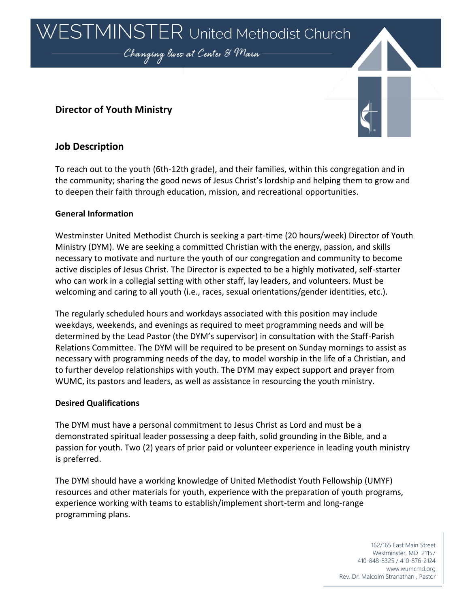ESTMINSTER United Methodist Church

Changing lives at Center & Main

# **Director of Youth Ministry**



# **Job Description**

To reach out to the youth (6th-12th grade), and their families, within this congregation and in the community; sharing the good news of Jesus Christ's lordship and helping them to grow and to deepen their faith through education, mission, and recreational opportunities.

## **General Information**

Westminster United Methodist Church is seeking a part-time (20 hours/week) Director of Youth Ministry (DYM). We are seeking a committed Christian with the energy, passion, and skills necessary to motivate and nurture the youth of our congregation and community to become active disciples of Jesus Christ. The Director is expected to be a highly motivated, self-starter who can work in a collegial setting with other staff, lay leaders, and volunteers. Must be welcoming and caring to all youth (i.e., races, sexual orientations/gender identities, etc.).

The regularly scheduled hours and workdays associated with this position may include weekdays, weekends, and evenings as required to meet programming needs and will be determined by the Lead Pastor (the DYM's supervisor) in consultation with the Staff-Parish Relations Committee. The DYM will be required to be present on Sunday mornings to assist as necessary with programming needs of the day, to model worship in the life of a Christian, and to further develop relationships with youth. The DYM may expect support and prayer from WUMC, its pastors and leaders, as well as assistance in resourcing the youth ministry.

#### **Desired Qualifications**

The DYM must have a personal commitment to Jesus Christ as Lord and must be a demonstrated spiritual leader possessing a deep faith, solid grounding in the Bible, and a passion for youth. Two (2) years of prior paid or volunteer experience in leading youth ministry is preferred.

The DYM should have a working knowledge of United Methodist Youth Fellowship (UMYF) resources and other materials for youth, experience with the preparation of youth programs, experience working with teams to establish/implement short-term and long-range programming plans.